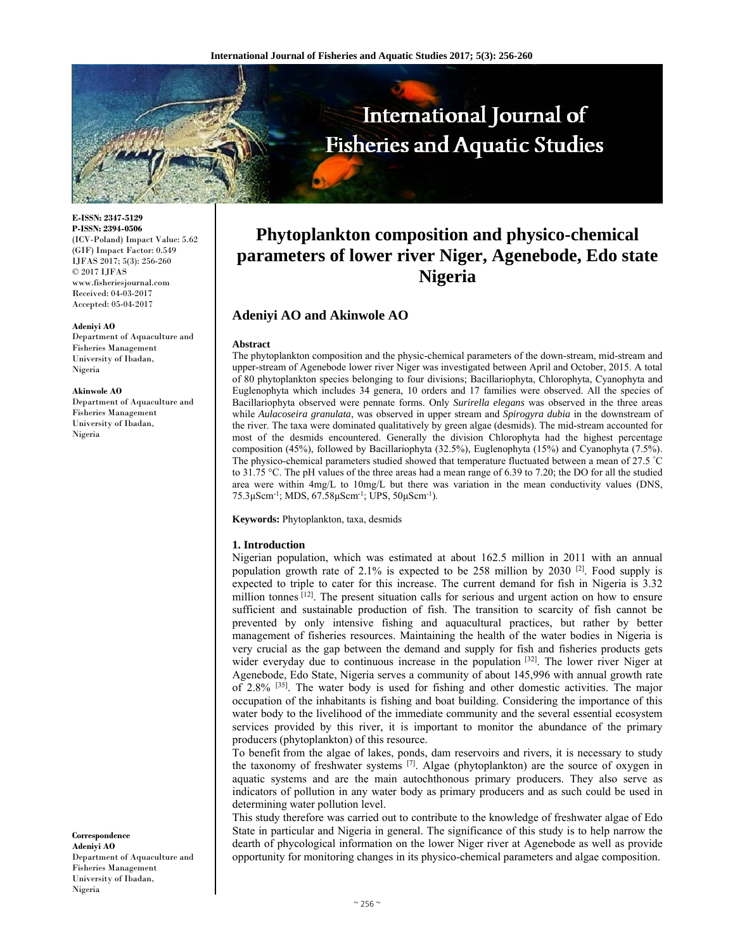

**E-ISSN: 2347-5129 P-ISSN: 2394-0506**  (ICV-Poland) Impact Value: 5.62 (GIF) Impact Factor: 0.549 IJFAS 2017; 5(3): 256-260  $\odot$  2017 IJFAS www.fisheriesjournal.com Received: 04-03-2017 Accepted: 05-04-2017

#### **Adeniyi AO**

Department of Aquaculture and Fisheries Management University of Ibadan, Nigeria

#### **Akinwole AO**

Department of Aquaculture and Fisheries Management University of Ibadan, Nigeria

**Phytoplankton composition and physico-chemical parameters of lower river Niger, Agenebode, Edo state Nigeria** 

# **Adeniyi AO and Akinwole AO**

## **Abstract**

The phytoplankton composition and the physic-chemical parameters of the down-stream, mid-stream and upper-stream of Agenebode lower river Niger was investigated between April and October, 2015. A total of 80 phytoplankton species belonging to four divisions; Bacillariophyta, Chlorophyta, Cyanophyta and Euglenophyta which includes 34 genera, 10 orders and 17 families were observed. All the species of Bacillariophyta observed were pennate forms. Only *Surirella elegans* was observed in the three areas while *Aulacoseira granulata*, was observed in upper stream and *Spirogyra dubia* in the downstream of the river. The taxa were dominated qualitatively by green algae (desmids). The mid-stream accounted for most of the desmids encountered. Generally the division Chlorophyta had the highest percentage composition (45%), followed by Bacillariophyta (32.5%), Euglenophyta (15%) and Cyanophyta (7.5%). The physico-chemical parameters studied showed that temperature fluctuated between a mean of 27.5 ° C to 31.75 °C. The pH values of the three areas had a mean range of 6.39 to 7.20; the DO for all the studied area were within 4mg/L to 10mg/L but there was variation in the mean conductivity values (DNS, 75.3μScm-1; MDS, 67.58μScm-1; UPS, 50μScm-1).

**Keywords:** Phytoplankton, taxa, desmids

#### **1. Introduction**

Nigerian population, which was estimated at about 162.5 million in 2011 with an annual population growth rate of 2.1% is expected to be 258 million by 2030  $[2]$ . Food supply is expected to triple to cater for this increase. The current demand for fish in Nigeria is 3.32 million tonnes  $[12]$ . The present situation calls for serious and urgent action on how to ensure sufficient and sustainable production of fish. The transition to scarcity of fish cannot be prevented by only intensive fishing and aquacultural practices, but rather by better management of fisheries resources. Maintaining the health of the water bodies in Nigeria is very crucial as the gap between the demand and supply for fish and fisheries products gets wider everyday due to continuous increase in the population  $[32]$ . The lower river Niger at Agenebode, Edo State, Nigeria serves a community of about 145,996 with annual growth rate of 2.8% <sup>[35]</sup>. The water body is used for fishing and other domestic activities. The major occupation of the inhabitants is fishing and boat building. Considering the importance of this water body to the livelihood of the immediate community and the several essential ecosystem services provided by this river, it is important to monitor the abundance of the primary producers (phytoplankton) of this resource.

To benefit from the algae of lakes, ponds, dam reservoirs and rivers, it is necessary to study the taxonomy of freshwater systems [7]. Algae (phytoplankton) are the source of oxygen in aquatic systems and are the main autochthonous primary producers. They also serve as indicators of pollution in any water body as primary producers and as such could be used in determining water pollution level.

This study therefore was carried out to contribute to the knowledge of freshwater algae of Edo State in particular and Nigeria in general. The significance of this study is to help narrow the dearth of phycological information on the lower Niger river at Agenebode as well as provide opportunity for monitoring changes in its physico-chemical parameters and algae composition.

**Correspondence Adeniyi AO**  Department of Aquaculture and Fisheries Management University of Ibadan, Nigeria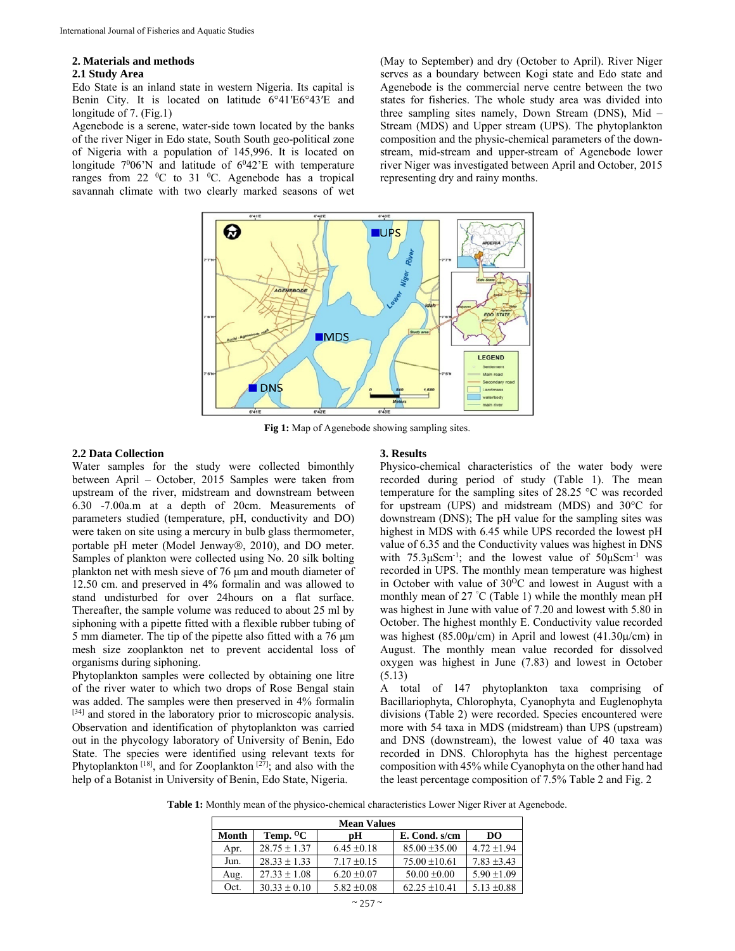#### **2. Materials and methods**

#### **2.1 Study Area**

Edo State is an inland state in western Nigeria. Its capital is Benin City. It is located on latitude 6°41′E6°43′E and longitude of 7. (Fig.1)

Agenebode is a serene, water-side town located by the banks of the river Niger in Edo state, South South geo-political zone of Nigeria with a population of 145,996. It is located on longitude  $7^0 06'$ N and latitude of  $6^0 42'$ E with temperature ranges from 22  $\mathrm{^0C}$  to 31  $\mathrm{^0C}$ . Agenebode has a tropical savannah climate with two clearly marked seasons of wet (May to September) and dry (October to April). River Niger serves as a boundary between Kogi state and Edo state and Agenebode is the commercial nerve centre between the two states for fisheries. The whole study area was divided into three sampling sites namely, Down Stream (DNS), Mid – Stream (MDS) and Upper stream (UPS). The phytoplankton composition and the physic-chemical parameters of the downstream, mid-stream and upper-stream of Agenebode lower river Niger was investigated between April and October, 2015 representing dry and rainy months.



**Fig 1:** Map of Agenebode showing sampling sites.

## **2.2 Data Collection**

Water samples for the study were collected bimonthly between April – October, 2015 Samples were taken from upstream of the river, midstream and downstream between 6.30 -7.00a.m at a depth of 20cm. Measurements of parameters studied (temperature, pH, conductivity and DO) were taken on site using a mercury in bulb glass thermometer, portable pH meter (Model Jenway®, 2010), and DO meter. Samples of plankton were collected using No. 20 silk bolting plankton net with mesh sieve of 76 μm and mouth diameter of 12.50 cm. and preserved in 4% formalin and was allowed to stand undisturbed for over 24hours on a flat surface. Thereafter, the sample volume was reduced to about 25 ml by siphoning with a pipette fitted with a flexible rubber tubing of 5 mm diameter. The tip of the pipette also fitted with a 76 μm mesh size zooplankton net to prevent accidental loss of organisms during siphoning.

Phytoplankton samples were collected by obtaining one litre of the river water to which two drops of Rose Bengal stain was added. The samples were then preserved in 4% formalin [34] and stored in the laboratory prior to microscopic analysis. Observation and identification of phytoplankton was carried out in the phycology laboratory of University of Benin, Edo State. The species were identified using relevant texts for Phytoplankton<sup>[18]</sup>, and for Zooplankton<sup>[27]</sup>; and also with the help of a Botanist in University of Benin, Edo State, Nigeria.

## **3. Results**

Physico-chemical characteristics of the water body were recorded during period of study (Table 1). The mean temperature for the sampling sites of 28.25 °C was recorded for upstream (UPS) and midstream (MDS) and 30°C for downstream (DNS); The pH value for the sampling sites was highest in MDS with 6.45 while UPS recorded the lowest pH value of 6.35 and the Conductivity values was highest in DNS with  $75.3 \mu \text{Scm}^{-1}$ ; and the lowest value of  $50 \mu \text{Scm}^{-1}$  was recorded in UPS. The monthly mean temperature was highest in October with value of  $30^{\circ}$ C and lowest in August with a monthly mean of 27 ° C (Table 1) while the monthly mean pH was highest in June with value of 7.20 and lowest with 5.80 in October. The highest monthly E. Conductivity value recorded was highest (85.00 $\mu$ /cm) in April and lowest (41.30 $\mu$ /cm) in August. The monthly mean value recorded for dissolved oxygen was highest in June (7.83) and lowest in October (5.13)

A total of 147 phytoplankton taxa comprising of Bacillariophyta, Chlorophyta, Cyanophyta and Euglenophyta divisions (Table 2) were recorded. Species encountered were more with 54 taxa in MDS (midstream) than UPS (upstream) and DNS (downstream), the lowest value of 40 taxa was recorded in DNS. Chlorophyta has the highest percentage composition with 45% while Cyanophyta on the other hand had the least percentage composition of 7.5% Table 2 and Fig. 2

**Table 1:** Monthly mean of the physico-chemical characteristics Lower Niger River at Agenebode.

| <b>Mean Values</b> |                  |                 |                   |                 |  |  |  |
|--------------------|------------------|-----------------|-------------------|-----------------|--|--|--|
| Month              | Temp. ${}^{0}C$  | pН              | E. Cond. s/cm     | DO              |  |  |  |
| Apr.               | $28.75 \pm 1.37$ | $6.45 \pm 0.18$ | $85.00 \pm 35.00$ | $4.72 + 1.94$   |  |  |  |
| Jun.               | $28.33 \pm 1.33$ | $7.17 \pm 0.15$ | $75.00 \pm 10.61$ | $7.83 \pm 3.43$ |  |  |  |
| Aug.               | $27.33 \pm 1.08$ | $6.20 \pm 0.07$ | $50.00 \pm 0.00$  | $5.90 \pm 1.09$ |  |  |  |
| Oct.               | $30.33 \pm 0.10$ | $5.82 \pm 0.08$ | $62.25 \pm 10.41$ | $5.13 \pm 0.88$ |  |  |  |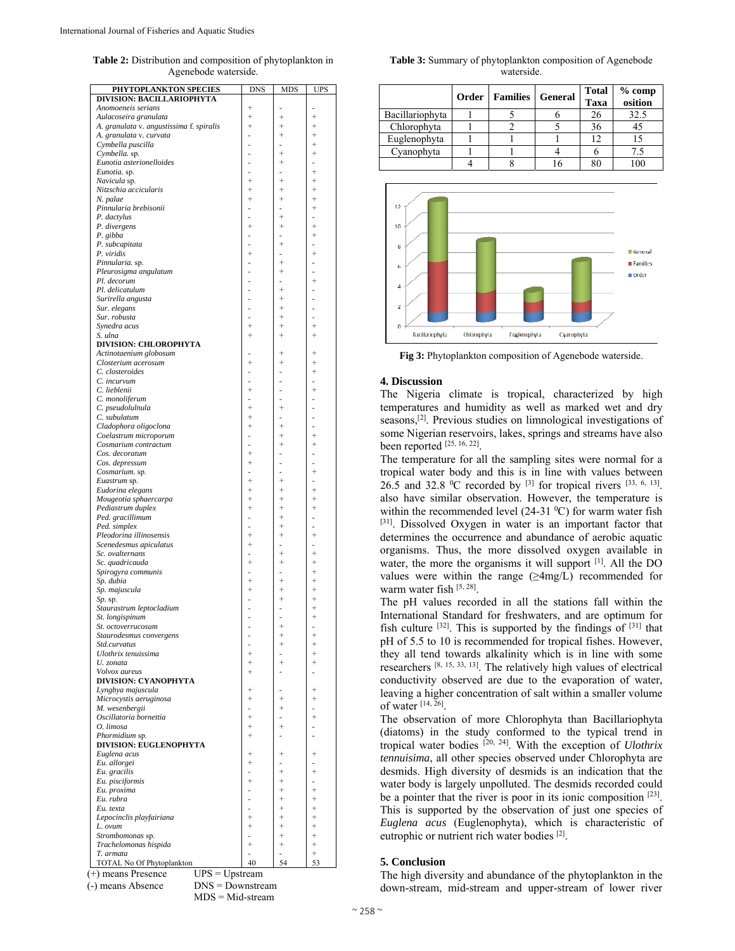**Table 2:** Distribution and composition of phytoplankton in Agenebode waterside.

| PHYTOPLANKTON SPECIES                    | <b>DNS</b> | MDS                | UPS                     |
|------------------------------------------|------------|--------------------|-------------------------|
| DIVISION: BACILLARIOPHYTA                |            |                    |                         |
| Anomoeneis serians                       | $^{+}$     |                    | ٠                       |
| Aulacoseira granulata                    | $^{+}$     | $^{+}$             | $^{+}$                  |
| A. granulata v. angustissima f. spiralis | $^{+}$     | $\! +$             | $^{+}$                  |
| A. granulata v. curvata                  |            | $^{+}$             | $^{+}$                  |
| Cymbella puscilla                        |            |                    | $^{+}$                  |
| Cymbella. sp.                            |            | $^{+}$             | $\! +$                  |
| Eunotia asterionelloides                 |            | $\! +$             | ÷,                      |
| Eunotia. sp.                             |            |                    | $^{+}$                  |
| Navicula sp.                             | $^{+}$     | $\! +$             | $^{+}$                  |
| Nitzschia accicularis                    | $^{+}$     | $\! +$             | $^{+}$                  |
| N. palae                                 | $\ddot{}$  | $^{+}$             | $^{+}$                  |
| Pinnularia brebisonii                    |            |                    | $^{+}$                  |
| P. dactylus                              | L,         | $\! +$             | ä,                      |
| P. divergens                             | $^{+}$     | $\! +$             | $^{+}$                  |
|                                          |            |                    | $^{+}$                  |
| P. gibba                                 |            | $^{+}$             |                         |
| P. subcapitata                           |            |                    | ۰                       |
| P. viridis                               | $^{+}$     | ٠                  | $^{+}$                  |
| Pinnularia. sp.                          |            | $^{+}$             | $\bar{ }$               |
| Pleurosigma angulatum                    |            | $^{+}$             |                         |
| Pl. decorum                              | í.         | ٠                  | $^{+}$                  |
| Pl. delicatulum                          |            | $^{+}$             |                         |
| Surirella angusta                        |            | $^{+}$             | ä,                      |
| Sur. elegans                             |            | $^{+}$             |                         |
| Sur. robusta                             |            | $^{+}$             |                         |
| Synedra acus                             | $^{+}$     | $^{+}$             | $^{+}$                  |
|                                          |            |                    |                         |
| S. ulna                                  | $^{+}$     | $\! +$             | $^{+}$                  |
| <b>DIVISION: CHLOROPHYTA</b>             |            |                    |                         |
| Actinotaenium globosum                   |            | $\! +$             | $^{+}$                  |
| Closterium acerosum                      | $\ddot{}$  | $\! +$             | $^{+}$                  |
| C. closteroides                          |            |                    | $^{+}$                  |
| C. incurvum                              |            |                    |                         |
| C. lieblenii                             | $^{+}$     | ÷,                 | $^{+}$                  |
| C. monoliferum                           | L,         |                    |                         |
| C. pseudolulnula                         | $^{+}$     | $^{+}$             |                         |
|                                          | $^{+}$     |                    |                         |
| C. subulatum                             |            |                    |                         |
| Cladophora oligoclona                    | $^{+}$     | $^{+}$             |                         |
| Coelastrum microporum                    | ä,         | $\! +$             | $^{+}$                  |
| Cosmarium contractum                     | L,         | $^{+}$             | $^{+}$                  |
| Cos. decoratum                           | $^{+}$     |                    | ۰                       |
| Cos. depressum                           | $^{+}$     |                    |                         |
| Cosmarium. sp.                           | ä,         | ä,                 | $^{+}$                  |
| Euastrum sp.                             | $^{+}$     | $^{+}$             |                         |
| Eudorina elegans                         | $^{+}$     | $\! +$             | $^{+}$                  |
|                                          | $^{+}$     | $^{+}$             | $^{+}$                  |
| Mougeotia sphaercarpa                    |            |                    |                         |
| Pediastrum duplex                        | $^{+}$     | $^{+}$             | $^{+}$                  |
| Ped. gracillimum                         |            | $^{+}$             |                         |
| Ped. simplex                             |            | $^{+}$             | ä,                      |
| Pleodorina illinosensis                  | $^{+}$     | $^{+}$             | $^{+}$                  |
| Scenedesmus apiculatus                   | $^{+}$     | ÷                  | ÷,                      |
| Sc. ovalternans                          |            | $^{+}$             | $^{+}$                  |
| Sc. quadricauda                          | $^{+}$     | $\! +$             | $^{+}$                  |
| Spirogyra communis                       |            |                    | $\! +$                  |
|                                          |            |                    |                         |
| Sp. dubia                                | $^{+}$     | $^{+}$             | $^{+}$                  |
| Sp. majuscula                            | $\ddot{}$  | $^{+}$             | $^{+}$                  |
| Sp. sp.                                  |            | $^{+}$             | $^{+}$                  |
| Staurastrum leptocladium                 | ä,         | ۰                  | $^{+}$                  |
| St. longispinum                          | Ĭ.         | ä,                 | $^{+}$                  |
| St. octoverrucosum                       |            |                    |                         |
| Staurodesmus convergens                  |            | $^{+}$             | $^{+}$                  |
| Std.curvatus                             |            | $^{+}$             | $^{+}$                  |
|                                          |            |                    |                         |
| Ulothrix tenuissima                      | $^{+}$     |                    | $^{+}$                  |
| U. zonata                                | $^{+}$     | $^{+}$             | $\! +$                  |
| Volvox aureus                            | $^{+}$     |                    |                         |
| <b>DIVISION: CYANOPHYTA</b>              |            |                    |                         |
| Lyngbya majuscula                        | $^{+}$     |                    | $^{+}$                  |
| Microcystis aeruginosa                   | $^{+}$     | $^{+}$             | $^{+}$                  |
| M. wesenbergii                           |            | $^{+}$             |                         |
| Oscillatoria bornettia                   | $^{+}$     |                    | $^{+}$                  |
|                                          | $^{+}$     | $^{+}$             |                         |
| O. limosa                                |            |                    |                         |
| Phormidium sp.                           | $^{+}$     |                    |                         |
| <b>DIVISION: EUGLENOPHYTA</b>            |            |                    |                         |
| Euglena acus                             | $\ddot{}$  | $\hskip 0.025cm +$ | $\,{}^{+}\,$            |
| Eu. allorgei                             | $\ddot{}$  |                    |                         |
| Eu. gracilis                             |            | $^{+}$             | $^{+}$                  |
| Eu. pisciformis                          |            | $^+$               |                         |
| Eu. proxima                              |            | $^{+}$             | $^{+}$                  |
|                                          |            | $^{+}$             | $^{+}$                  |
| Eu. rubra                                |            |                    |                         |
| Eu. texta                                |            | $^{+}$             | $^{+}$                  |
| Lepocinclis playfairiana                 |            | $^{+}$             | $^{+}$                  |
|                                          | $\ddot{}$  | $^{+}$             | $^{+}$                  |
| L. ovum                                  |            | $^{+}$             | $^{+}$                  |
|                                          |            |                    |                         |
| Strombomonas sp.                         | $\ddot{}$  |                    |                         |
| Trachelomonas hispida                    |            | $\! +$             | $^{+}$                  |
| T. armata<br>TOTAL No Of Phytoplankton   | ä,<br>40   | ä,<br>54           | $\qquad \qquad +$<br>53 |

MDS = Mid-stream

**Table 3:** Summary of phytoplankton composition of Agenebode waterside.

|                 | Order | <b>Families</b> | General | <b>Total</b><br>Taxa | % comp<br>osition |
|-----------------|-------|-----------------|---------|----------------------|-------------------|
| Bacillariophyta |       |                 |         | 26                   | 32.5              |
| Chlorophyta     |       |                 |         | 36                   | 45                |
| Euglenophyta    |       |                 |         |                      |                   |
| Cyanophyta      |       |                 |         |                      | 7.5               |
|                 |       |                 |         |                      |                   |



**Fig 3:** Phytoplankton composition of Agenebode waterside.

# **4. Discussion**

The Nigeria climate is tropical, characterized by high temperatures and humidity as well as marked wet and dry seasons,<sup>[2]</sup>. Previous studies on limnological investigations of some Nigerian reservoirs, lakes, springs and streams have also been reported [25, 16, 22].

The temperature for all the sampling sites were normal for a tropical water body and this is in line with values between 26.5 and 32.8 <sup>0</sup>C recorded by <sup>[3]</sup> for tropical rivers <sup>[33, 6, 13]</sup>. also have similar observation. However, the temperature is within the recommended level (24-31 $\,^0$ C) for warm water fish [31]. Dissolved Oxygen in water is an important factor that determines the occurrence and abundance of aerobic aquatic organisms. Thus, the more dissolved oxygen available in water, the more the organisms it will support  $[1]$ . All the DO values were within the range  $(\geq 4 \text{mg/L})$  recommended for warm water fish [5, 28].

The pH values recorded in all the stations fall within the International Standard for freshwaters, and are optimum for fish culture  $[32]$ . This is supported by the findings of  $[31]$  that pH of 5.5 to 10 is recommended for tropical fishes. However, they all tend towards alkalinity which is in line with some researchers [8, 15, 33, 13]. The relatively high values of electrical conductivity observed are due to the evaporation of water, leaving a higher concentration of salt within a smaller volume of water  $[14, 26]$ .

The observation of more Chlorophyta than Bacillariophyta (diatoms) in the study conformed to the typical trend in tropical water bodies [20, 24]. With the exception of *Ulothrix tennuisima*, all other species observed under Chlorophyta are desmids. High diversity of desmids is an indication that the water body is largely unpolluted. The desmids recorded could be a pointer that the river is poor in its ionic composition [23]. This is supported by the observation of just one species of *Euglena acus* (Euglenophyta), which is characteristic of eutrophic or nutrient rich water bodies [2].

# **5. Conclusion**

The high diversity and abundance of the phytoplankton in the down-stream, mid-stream and upper-stream of lower river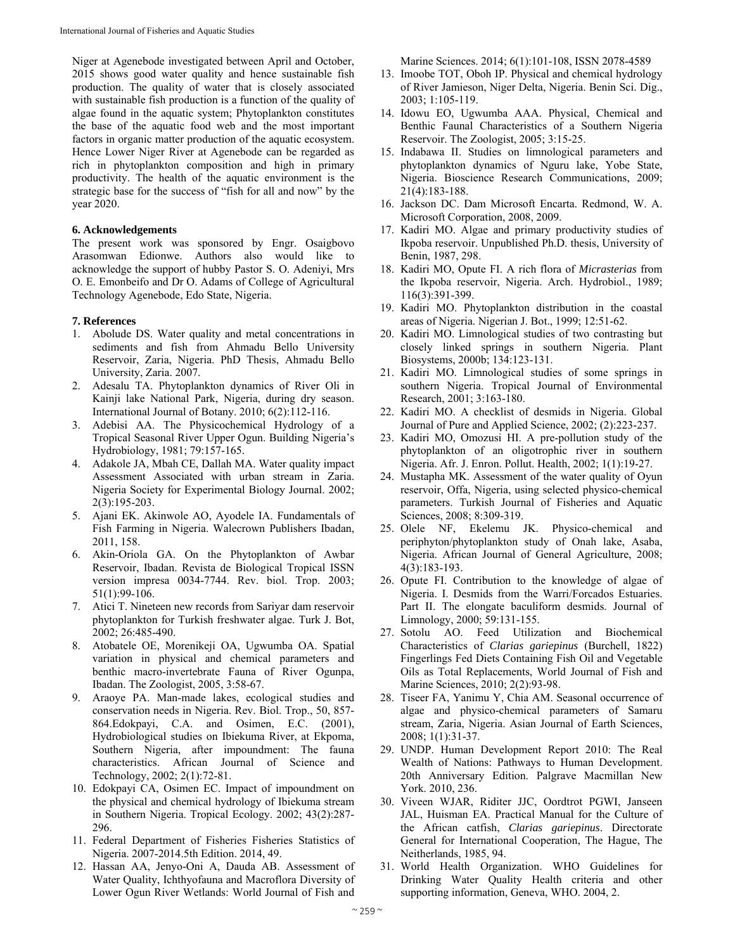Niger at Agenebode investigated between April and October, 2015 shows good water quality and hence sustainable fish production. The quality of water that is closely associated with sustainable fish production is a function of the quality of algae found in the aquatic system; Phytoplankton constitutes the base of the aquatic food web and the most important factors in organic matter production of the aquatic ecosystem. Hence Lower Niger River at Agenebode can be regarded as rich in phytoplankton composition and high in primary productivity. The health of the aquatic environment is the strategic base for the success of "fish for all and now" by the year 2020.

## **6. Acknowledgements**

The present work was sponsored by Engr. Osaigbovo Arasomwan Edionwe. Authors also would like to acknowledge the support of hubby Pastor S. O. Adeniyi, Mrs O. E. Emonbeifo and Dr O. Adams of College of Agricultural Technology Agenebode, Edo State, Nigeria.

#### **7. References**

- 1. Abolude DS. Water quality and metal concentrations in sediments and fish from Ahmadu Bello University Reservoir, Zaria, Nigeria. PhD Thesis, Ahmadu Bello University, Zaria. 2007.
- 2. Adesalu TA. Phytoplankton dynamics of River Oli in Kainji lake National Park, Nigeria, during dry season. International Journal of Botany. 2010; 6(2):112-116.
- 3. Adebisi AA. The Physicochemical Hydrology of a Tropical Seasonal River Upper Ogun. Building Nigeria's Hydrobiology, 1981; 79:157-165.
- 4. Adakole JA, Mbah CE, Dallah MA. Water quality impact Assessment Associated with urban stream in Zaria. Nigeria Society for Experimental Biology Journal. 2002; 2(3):195-203.
- 5. Ajani EK. Akinwole AO, Ayodele IA. Fundamentals of Fish Farming in Nigeria. Walecrown Publishers Ibadan, 2011, 158.
- 6. Akin-Oriola GA. On the Phytoplankton of Awbar Reservoir, Ibadan. Revista de Biological Tropical ISSN version impresa 0034-7744. Rev. biol. Trop. 2003; 51(1):99-106.
- 7. Atici T. Nineteen new records from Sariyar dam reservoir phytoplankton for Turkish freshwater algae. Turk J. Bot, 2002; 26:485-490.
- 8. Atobatele OE, Morenikeji OA, Ugwumba OA. Spatial variation in physical and chemical parameters and benthic macro-invertebrate Fauna of River Ogunpa, Ibadan. The Zoologist, 2005, 3:58-67.
- 9. Araoye PA. Man-made lakes, ecological studies and conservation needs in Nigeria. Rev. Biol. Trop., 50, 857- 864.Edokpayi, C.A. and Osimen, E.C. (2001), Hydrobiological studies on Ibiekuma River, at Ekpoma, Southern Nigeria, after impoundment: The fauna characteristics. African Journal of Science and Technology, 2002; 2(1):72-81.
- 10. Edokpayi CA, Osimen EC. Impact of impoundment on the physical and chemical hydrology of Ibiekuma stream in Southern Nigeria. Tropical Ecology. 2002; 43(2):287- 296.
- 11. Federal Department of Fisheries Fisheries Statistics of Nigeria. 2007-2014.5th Edition. 2014, 49.
- 12. Hassan AA, Jenyo-Oni A, Dauda AB. Assessment of Water Quality, Ichthyofauna and Macroflora Diversity of Lower Ogun River Wetlands: World Journal of Fish and

Marine Sciences. 2014; 6(1):101-108, ISSN 2078-4589

- 13. Imoobe TOT, Oboh IP. Physical and chemical hydrology of River Jamieson, Niger Delta, Nigeria. Benin Sci. Dig., 2003; 1:105-119.
- 14. Idowu EO, Ugwumba AAA. Physical, Chemical and Benthic Faunal Characteristics of a Southern Nigeria Reservoir. The Zoologist, 2005; 3:15-25.
- 15. Indabawa II. Studies on limnological parameters and phytoplankton dynamics of Nguru lake, Yobe State, Nigeria. Bioscience Research Communications, 2009; 21(4):183-188.
- 16. Jackson DC. Dam Microsoft Encarta. Redmond, W. A. Microsoft Corporation, 2008, 2009.
- 17. Kadiri MO. Algae and primary productivity studies of Ikpoba reservoir. Unpublished Ph.D. thesis, University of Benin, 1987, 298.
- 18. Kadiri MO, Opute FI. A rich flora of *Micrasterias* from the Ikpoba reservoir, Nigeria. Arch. Hydrobiol., 1989; 116(3):391-399.
- 19. Kadiri MO. Phytoplankton distribution in the coastal areas of Nigeria. Nigerian J. Bot., 1999; 12:51-62.
- 20. Kadiri MO. Limnological studies of two contrasting but closely linked springs in southern Nigeria. Plant Biosystems, 2000b; 134:123-131.
- 21. Kadiri MO. Limnological studies of some springs in southern Nigeria. Tropical Journal of Environmental Research, 2001; 3:163-180.
- 22. Kadiri MO. A checklist of desmids in Nigeria. Global Journal of Pure and Applied Science, 2002; (2):223-237.
- 23. Kadiri MO, Omozusi HI. A pre-pollution study of the phytoplankton of an oligotrophic river in southern Nigeria. Afr. J. Enron. Pollut. Health, 2002; 1(1):19-27.
- 24. Mustapha MK. Assessment of the water quality of Oyun reservoir, Offa, Nigeria, using selected physico-chemical parameters. Turkish Journal of Fisheries and Aquatic Sciences, 2008; 8:309-319.
- 25. Olele NF, Ekelemu JK. Physico-chemical and periphyton/phytoplankton study of Onah lake, Asaba, Nigeria. African Journal of General Agriculture, 2008; 4(3):183-193.
- 26. Opute FI. Contribution to the knowledge of algae of Nigeria. I. Desmids from the Warri/Forcados Estuaries. Part II. The elongate baculiform desmids. Journal of Limnology, 2000; 59:131-155.
- 27. Sotolu AO. Feed Utilization and Biochemical Characteristics of *Clarias gariepinus* (Burchell, 1822) Fingerlings Fed Diets Containing Fish Oil and Vegetable Oils as Total Replacements, World Journal of Fish and Marine Sciences, 2010; 2(2):93-98.
- 28. Tiseer FA, Yanimu Y, Chia AM. Seasonal occurrence of algae and physico-chemical parameters of Samaru stream, Zaria, Nigeria. Asian Journal of Earth Sciences, 2008; 1(1):31-37.
- 29. UNDP. Human Development Report 2010: The Real Wealth of Nations: Pathways to Human Development. 20th Anniversary Edition. Palgrave Macmillan New York. 2010, 236.
- 30. Viveen WJAR, Riditer JJC, Oordtrot PGWI, Janseen JAL, Huisman EA. Practical Manual for the Culture of the African catfish, *Clarias gariepinus*. Directorate General for International Cooperation, The Hague, The Neitherlands, 1985, 94.
- 31. World Health Organization. WHO Guidelines for Drinking Water Quality Health criteria and other supporting information, Geneva, WHO. 2004, 2.